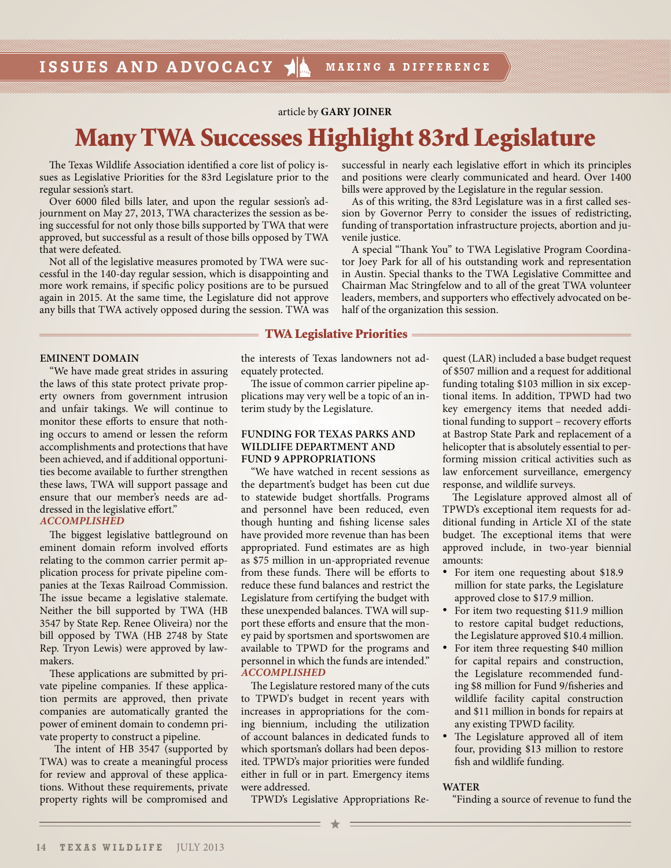article by **GARY JOINER**

# **Many TWA Successes Highlight 83rd Legislature**

The Texas Wildlife Association identified a core list of policy issues as Legislative Priorities for the 83rd Legislature prior to the regular session's start.

Over 6000 filed bills later, and upon the regular session's adjournment on May 27, 2013, TWA characterizes the session as being successful for not only those bills supported by TWA that were approved, but successful as a result of those bills opposed by TWA that were defeated.

Not all of the legislative measures promoted by TWA were successful in the 140-day regular session, which is disappointing and more work remains, if specific policy positions are to be pursued again in 2015. At the same time, the Legislature did not approve any bills that TWA actively opposed during the session. TWA was

successful in nearly each legislative effort in which its principles and positions were clearly communicated and heard. Over 1400 bills were approved by the Legislature in the regular session.

As of this writing, the 83rd Legislature was in a first called session by Governor Perry to consider the issues of redistricting, funding of transportation infrastructure projects, abortion and juvenile justice.

A special "Thank You" to TWA Legislative Program Coordinator Joey Park for all of his outstanding work and representation in Austin. Special thanks to the TWA Legislative Committee and Chairman Mac Stringfelow and to all of the great TWA volunteer leaders, members, and supporters who effectively advocated on behalf of the organization this session.

## **TWA Legislative Priorities**

## **EMINENT DOMAIN**

"We have made great strides in assuring the laws of this state protect private property owners from government intrusion and unfair takings. We will continue to monitor these efforts to ensure that nothing occurs to amend or lessen the reform accomplishments and protections that have been achieved, and if additional opportunities become available to further strengthen these laws, TWA will support passage and ensure that our member's needs are addressed in the legislative effort." *ACCOMPLISHED*

The biggest legislative battleground on eminent domain reform involved efforts relating to the common carrier permit application process for private pipeline companies at the Texas Railroad Commission. The issue became a legislative stalemate. Neither the bill supported by TWA (HB 3547 by State Rep. Renee Oliveira) nor the bill opposed by TWA (HB 2748 by State Rep. Tryon Lewis) were approved by lawmakers.

These applications are submitted by private pipeline companies. If these application permits are approved, then private companies are automatically granted the power of eminent domain to condemn private property to construct a pipeline.

 The intent of HB 3547 (supported by TWA) was to create a meaningful process for review and approval of these applications. Without these requirements, private property rights will be compromised and

the interests of Texas landowners not adequately protected.

The issue of common carrier pipeline applications may very well be a topic of an interim study by the Legislature.

## **FUNDING FOR TEXAS PARKS AND WILDLIFE DEPARTMENT AND FUND 9 APPROPRIATIONS**

"We have watched in recent sessions as the department's budget has been cut due to statewide budget shortfalls. Programs and personnel have been reduced, even though hunting and fishing license sales have provided more revenue than has been appropriated. Fund estimates are as high as \$75 million in un-appropriated revenue from these funds. There will be efforts to reduce these fund balances and restrict the Legislature from certifying the budget with these unexpended balances. TWA will support these efforts and ensure that the money paid by sportsmen and sportswomen are available to TPWD for the programs and personnel in which the funds are intended." *ACCOMPLISHED*

The Legislature restored many of the cuts to TPWD's budget in recent years with increases in appropriations for the coming biennium, including the utilization of account balances in dedicated funds to which sportsman's dollars had been deposited. TPWD's major priorities were funded either in full or in part. Emergency items were addressed.

quest (LAR) included a base budget request of \$507 million and a request for additional funding totaling \$103 million in six exceptional items. In addition, TPWD had two key emergency items that needed additional funding to support – recovery efforts at Bastrop State Park and replacement of a helicopter that is absolutely essential to performing mission critical activities such as law enforcement surveillance, emergency response, and wildlife surveys.

The Legislature approved almost all of TPWD's exceptional item requests for additional funding in Article XI of the state budget. The exceptional items that were approved include, in two-year biennial amounts:

- For item one requesting about \$18.9 million for state parks, the Legislature approved close to \$17.9 million.
- For item two requesting \$11.9 million to restore capital budget reductions, the Legislature approved \$10.4 million.
- For item three requesting \$40 million for capital repairs and construction, the Legislature recommended funding \$8 million for Fund 9/fisheries and wildlife facility capital construction and \$11 million in bonds for repairs at any existing TPWD facility.
- The Legislature approved all of item four, providing \$13 million to restore fish and wildlife funding.

#### **WATER**

"Finding a source of revenue to fund the